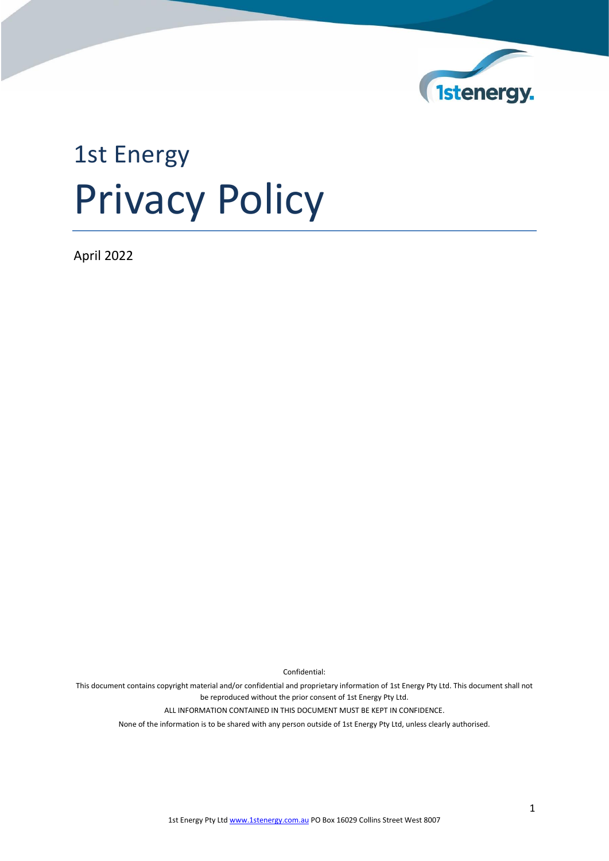

# 1st Energy Privacy Policy

April 2022

Confidential:

This document contains copyright material and/or confidential and proprietary information of 1st Energy Pty Ltd. This document shall not be reproduced without the prior consent of 1st Energy Pty Ltd.

ALL INFORMATION CONTAINED IN THIS DOCUMENT MUST BE KEPT IN CONFIDENCE.

None of the information is to be shared with any person outside of 1st Energy Pty Ltd, unless clearly authorised.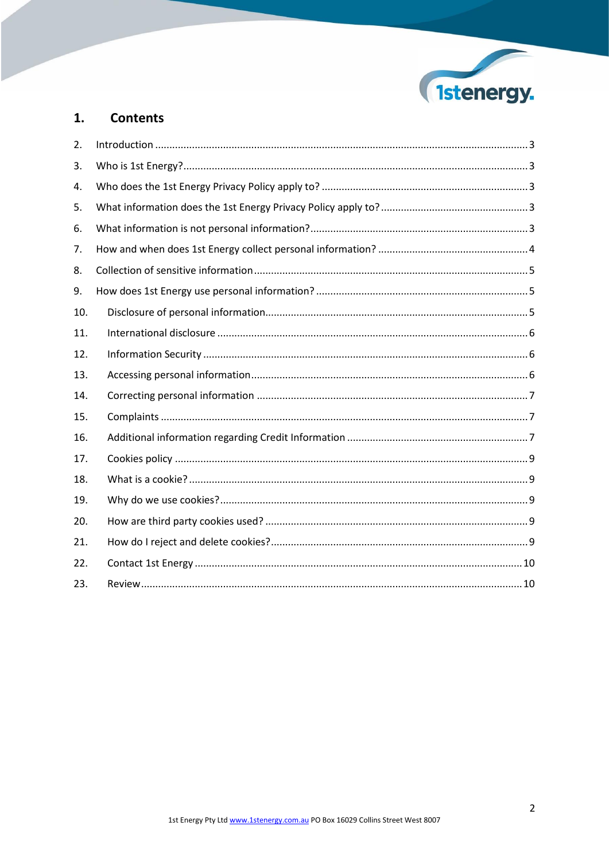

#### $1.$ **Contents**

| 2.  |  |
|-----|--|
| 3.  |  |
| 4.  |  |
| 5.  |  |
| 6.  |  |
| 7.  |  |
| 8.  |  |
| 9.  |  |
| 10. |  |
| 11. |  |
| 12. |  |
| 13. |  |
| 14. |  |
| 15. |  |
| 16. |  |
| 17. |  |
| 18. |  |
| 19. |  |
| 20. |  |
| 21. |  |
| 22. |  |
| 23. |  |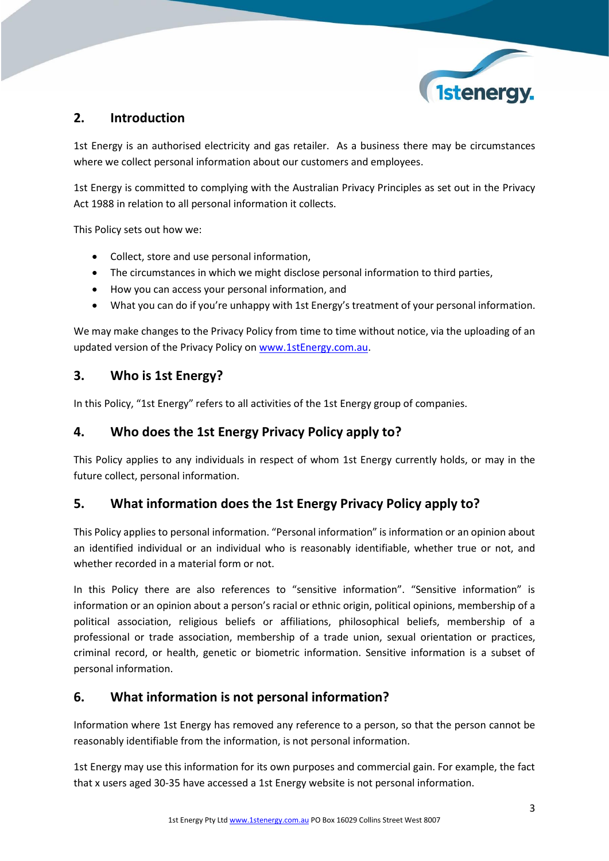

# <span id="page-2-0"></span>**2. Introduction**

1st Energy is an authorised electricity and gas retailer. As a business there may be circumstances where we collect personal information about our customers and employees.

1st Energy is committed to complying with the Australian Privacy Principles as set out in the Privacy Act 1988 in relation to all personal information it collects.

This Policy sets out how we:

- Collect, store and use personal information,
- The circumstances in which we might disclose personal information to third parties,
- How you can access your personal information, and
- What you can do if you're unhappy with 1st Energy's treatment of your personal information.

We may make changes to the Privacy Policy from time to time without notice, via the uploading of an updated version of the Privacy Policy o[n www.1stEnergy.com.au.](http://www.1stenergy.com.au/)

# <span id="page-2-1"></span>**3. Who is 1st Energy?**

In this Policy, "1st Energy" refers to all activities of the 1st Energy group of companies.

### <span id="page-2-2"></span>**4. Who does the 1st Energy Privacy Policy apply to?**

This Policy applies to any individuals in respect of whom 1st Energy currently holds, or may in the future collect, personal information.

# <span id="page-2-3"></span>**5. What information does the 1st Energy Privacy Policy apply to?**

This Policy applies to personal information. "Personal information" is information or an opinion about an identified individual or an individual who is reasonably identifiable, whether true or not, and whether recorded in a material form or not.

In this Policy there are also references to "sensitive information". "Sensitive information" is information or an opinion about a person's racial or ethnic origin, political opinions, membership of a political association, religious beliefs or affiliations, philosophical beliefs, membership of a professional or trade association, membership of a trade union, sexual orientation or practices, criminal record, or health, genetic or biometric information. Sensitive information is a subset of personal information.

# <span id="page-2-4"></span>**6. What information is not personal information?**

Information where 1st Energy has removed any reference to a person, so that the person cannot be reasonably identifiable from the information, is not personal information.

1st Energy may use this information for its own purposes and commercial gain. For example, the fact that x users aged 30-35 have accessed a 1st Energy website is not personal information.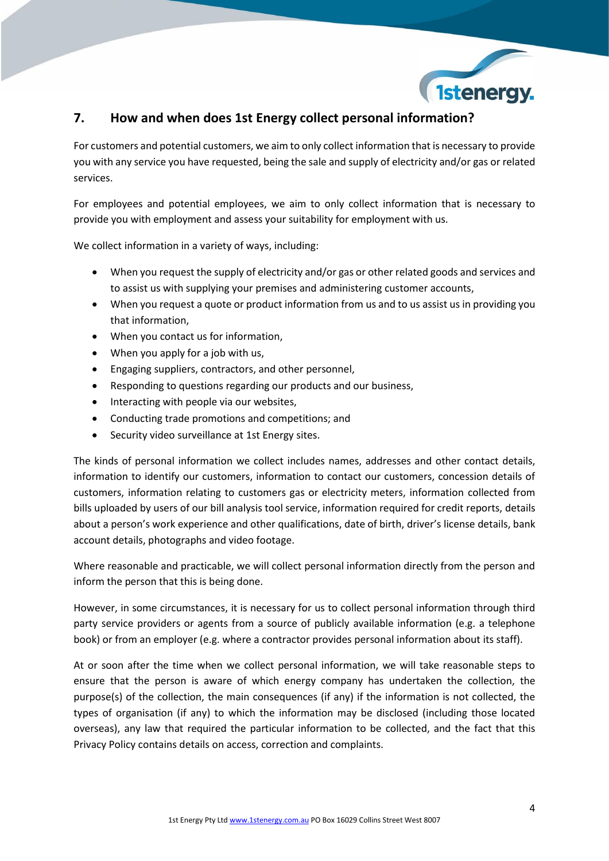

# <span id="page-3-0"></span>**7. How and when does 1st Energy collect personal information?**

For customers and potential customers, we aim to only collect information that is necessary to provide you with any service you have requested, being the sale and supply of electricity and/or gas or related services.

For employees and potential employees, we aim to only collect information that is necessary to provide you with employment and assess your suitability for employment with us.

We collect information in a variety of ways, including:

- When you request the supply of electricity and/or gas or other related goods and services and to assist us with supplying your premises and administering customer accounts,
- When you request a quote or product information from us and to us assist us in providing you that information,
- When you contact us for information,
- When you apply for a job with us,
- Engaging suppliers, contractors, and other personnel,
- Responding to questions regarding our products and our business,
- Interacting with people via our websites,
- Conducting trade promotions and competitions; and
- Security video surveillance at 1st Energy sites.

The kinds of personal information we collect includes names, addresses and other contact details, information to identify our customers, information to contact our customers, concession details of customers, information relating to customers gas or electricity meters, information collected from bills uploaded by users of our bill analysis tool service, information required for credit reports, details about a person's work experience and other qualifications, date of birth, driver's license details, bank account details, photographs and video footage.

Where reasonable and practicable, we will collect personal information directly from the person and inform the person that this is being done.

However, in some circumstances, it is necessary for us to collect personal information through third party service providers or agents from a source of publicly available information (e.g. a telephone book) or from an employer (e.g. where a contractor provides personal information about its staff).

At or soon after the time when we collect personal information, we will take reasonable steps to ensure that the person is aware of which energy company has undertaken the collection, the purpose(s) of the collection, the main consequences (if any) if the information is not collected, the types of organisation (if any) to which the information may be disclosed (including those located overseas), any law that required the particular information to be collected, and the fact that this Privacy Policy contains details on access, correction and complaints.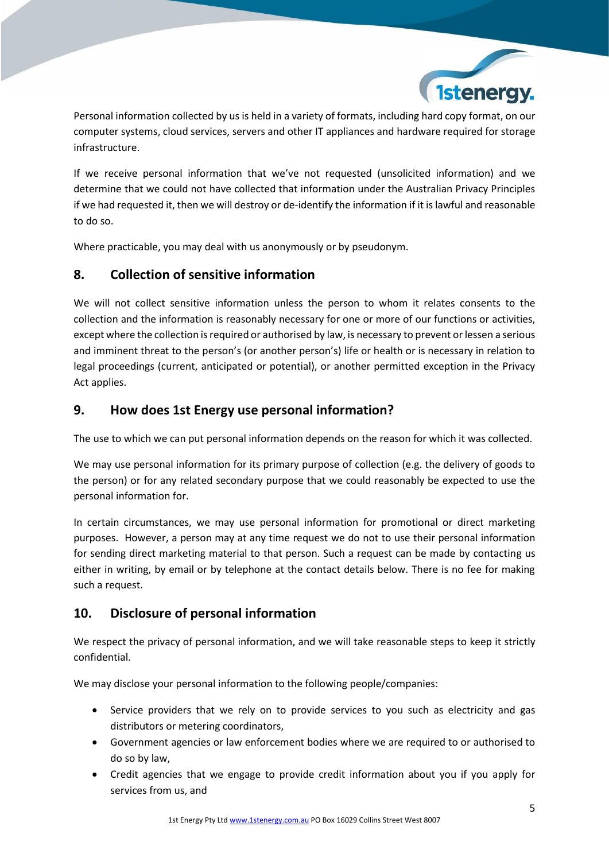

Personal information collected by us is held in a variety of formats, including hard copy format, on our computer systems, cloud services, servers and other IT appliances and hardware required for storage infrastructure.

If we receive personal information that we've not requested (unsolicited information) and we determine that we could not have collected that information under the Australian Privacy Principles if we had requested it, then we will destroy or de-identify the information if it is lawful and reasonable to do so.

Where practicable, you may deal with us anonymously or by pseudonym.

# <span id="page-4-0"></span>**8. Collection of sensitive information**

We will not collect sensitive information unless the person to whom it relates consents to the collection and the information is reasonably necessary for one or more of our functions or activities, except where the collection is required or authorised by law, is necessary to prevent or lessen a serious and imminent threat to the person's (or another person's) life or health or is necessary in relation to legal proceedings (current, anticipated or potential), or another permitted exception in the Privacy Act applies.

# <span id="page-4-1"></span>**9. How does 1st Energy use personal information?**

The use to which we can put personal information depends on the reason for which it was collected.

We may use personal information for its primary purpose of collection (e.g. the delivery of goods to the person) or for any related secondary purpose that we could reasonably be expected to use the personal information for.

In certain circumstances, we may use personal information for promotional or direct marketing purposes. However, a person may at any time request we do not to use their personal information for sending direct marketing material to that person. Such a request can be made by contacting us either in writing, by email or by telephone at the contact details below. There is no fee for making such a request.

# <span id="page-4-2"></span>**10. Disclosure of personal information**

We respect the privacy of personal information, and we will take reasonable steps to keep it strictly confidential.

We may disclose your personal information to the following people/companies:

- Service providers that we rely on to provide services to you such as electricity and gas distributors or metering coordinators,
- Government agencies or law enforcement bodies where we are required to or authorised to do so by law,
- Credit agencies that we engage to provide credit information about you if you apply for services from us, and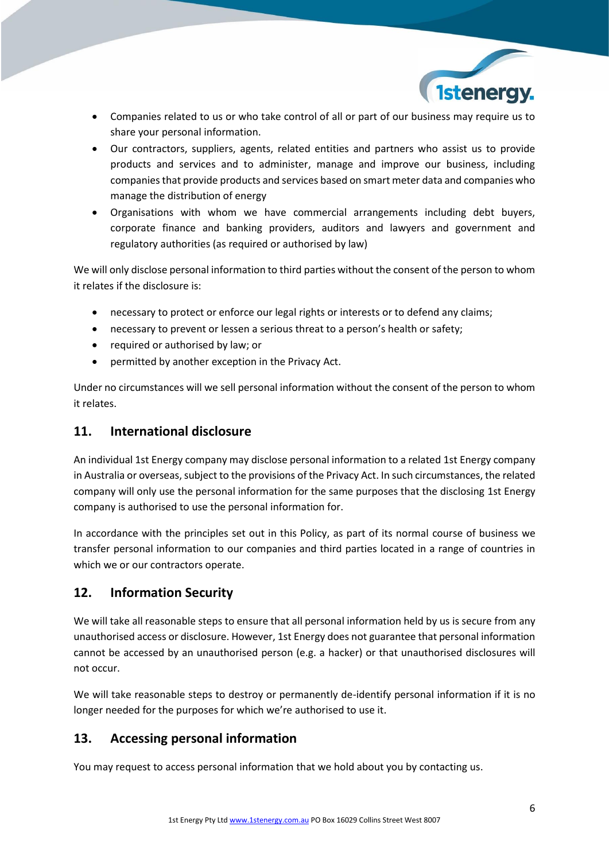

- Companies related to us or who take control of all or part of our business may require us to share your personal information.
- Our contractors, suppliers, agents, related entities and partners who assist us to provide products and services and to administer, manage and improve our business, including companies that provide products and services based on smart meter data and companies who manage the distribution of energy
- Organisations with whom we have commercial arrangements including debt buyers, corporate finance and banking providers, auditors and lawyers and government and regulatory authorities (as required or authorised by law)

We will only disclose personal information to third parties without the consent of the person to whom it relates if the disclosure is:

- necessary to protect or enforce our legal rights or interests or to defend any claims;
- necessary to prevent or lessen a serious threat to a person's health or safety;
- required or authorised by law; or
- permitted by another exception in the Privacy Act.

Under no circumstances will we sell personal information without the consent of the person to whom it relates.

#### <span id="page-5-0"></span>**11. International disclosure**

An individual 1st Energy company may disclose personal information to a related 1st Energy company in Australia or overseas, subject to the provisions of the Privacy Act. In such circumstances, the related company will only use the personal information for the same purposes that the disclosing 1st Energy company is authorised to use the personal information for.

In accordance with the principles set out in this Policy, as part of its normal course of business we transfer personal information to our companies and third parties located in a range of countries in which we or our contractors operate.

### <span id="page-5-1"></span>**12. Information Security**

We will take all reasonable steps to ensure that all personal information held by us is secure from any unauthorised access or disclosure. However, 1st Energy does not guarantee that personal information cannot be accessed by an unauthorised person (e.g. a hacker) or that unauthorised disclosures will not occur.

We will take reasonable steps to destroy or permanently de-identify personal information if it is no longer needed for the purposes for which we're authorised to use it.

### <span id="page-5-2"></span>**13. Accessing personal information**

You may request to access personal information that we hold about you by contacting us.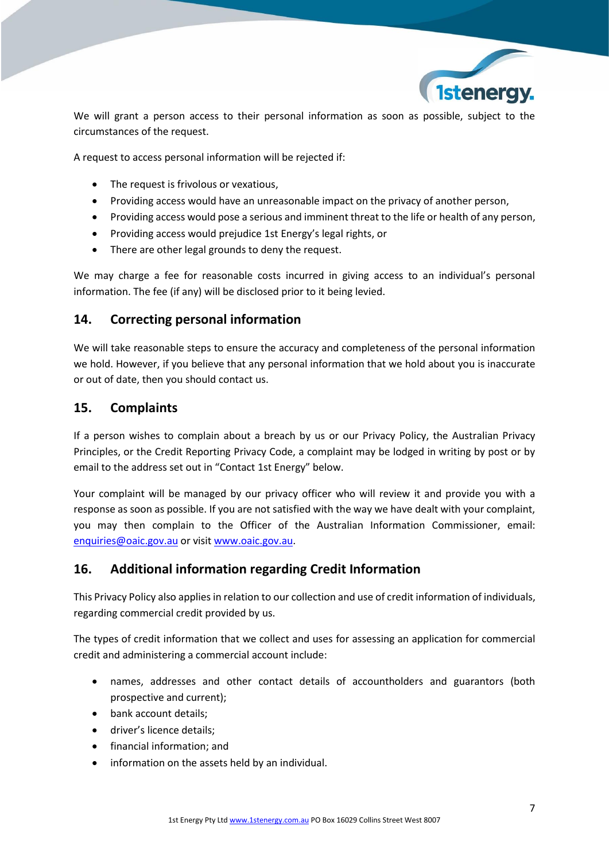

We will grant a person access to their personal information as soon as possible, subject to the circumstances of the request.

A request to access personal information will be rejected if:

- The request is frivolous or vexatious,
- Providing access would have an unreasonable impact on the privacy of another person,
- Providing access would pose a serious and imminent threat to the life or health of any person,
- Providing access would prejudice 1st Energy's legal rights, or
- There are other legal grounds to deny the request.

We may charge a fee for reasonable costs incurred in giving access to an individual's personal information. The fee (if any) will be disclosed prior to it being levied.

#### <span id="page-6-0"></span>**14. Correcting personal information**

We will take reasonable steps to ensure the accuracy and completeness of the personal information we hold. However, if you believe that any personal information that we hold about you is inaccurate or out of date, then you should contact us.

#### <span id="page-6-1"></span>**15. Complaints**

If a person wishes to complain about a breach by us or our Privacy Policy, the Australian Privacy Principles, or the Credit Reporting Privacy Code, a complaint may be lodged in writing by post or by email to the address set out in "Contact 1st Energy" below.

Your complaint will be managed by our privacy officer who will review it and provide you with a response as soon as possible. If you are not satisfied with the way we have dealt with your complaint, you may then complain to the Officer of the Australian Information Commissioner, email: [enquiries@oaic.gov.au](mailto:enquiries@oaic.gov.au) or visit [www.oaic.gov.au.](http://www.oaic.gov.au/)

### <span id="page-6-2"></span>**16. Additional information regarding Credit Information**

This Privacy Policy also applies in relation to our collection and use of credit information of individuals, regarding commercial credit provided by us.

The types of credit information that we collect and uses for assessing an application for commercial credit and administering a commercial account include:

- names, addresses and other contact details of accountholders and guarantors (both prospective and current);
- bank account details;
- driver's licence details;
- financial information; and
- information on the assets held by an individual.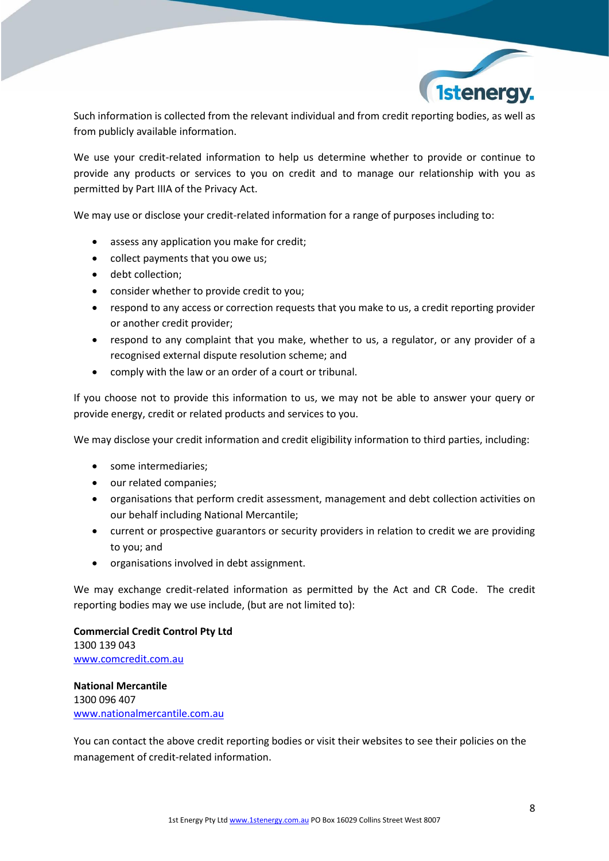

Such information is collected from the relevant individual and from credit reporting bodies, as well as from publicly available information.

We use your credit-related information to help us determine whether to provide or continue to provide any products or services to you on credit and to manage our relationship with you as permitted by Part IIIA of the Privacy Act.

We may use or disclose your credit-related information for a range of purposes including to:

- assess any application you make for credit;
- collect payments that you owe us;
- debt collection;
- consider whether to provide credit to you;
- respond to any access or correction requests that you make to us, a credit reporting provider or another credit provider;
- respond to any complaint that you make, whether to us, a regulator, or any provider of a recognised external dispute resolution scheme; and
- comply with the law or an order of a court or tribunal.

If you choose not to provide this information to us, we may not be able to answer your query or provide energy, credit or related products and services to you.

We may disclose your credit information and credit eligibility information to third parties, including:

- some intermediaries;
- our related companies;
- organisations that perform credit assessment, management and debt collection activities on our behalf including National Mercantile;
- current or prospective guarantors or security providers in relation to credit we are providing to you; and
- organisations involved in debt assignment.

We may exchange credit-related information as permitted by the Act and CR Code. The credit reporting bodies may we use include, (but are not limited to):

**Commercial Credit Control Pty Ltd** 1300 139 043 [www.comcredit.com.au](http://www.comcredit.com.au/)

**National Mercantile**  1300 096 407 [www.nationalmercantile.com.au](http://www.nationalmercantile.com.au/)

<span id="page-7-0"></span>You can contact the above credit reporting bodies or visit their websites to see their policies on the management of credit-related information.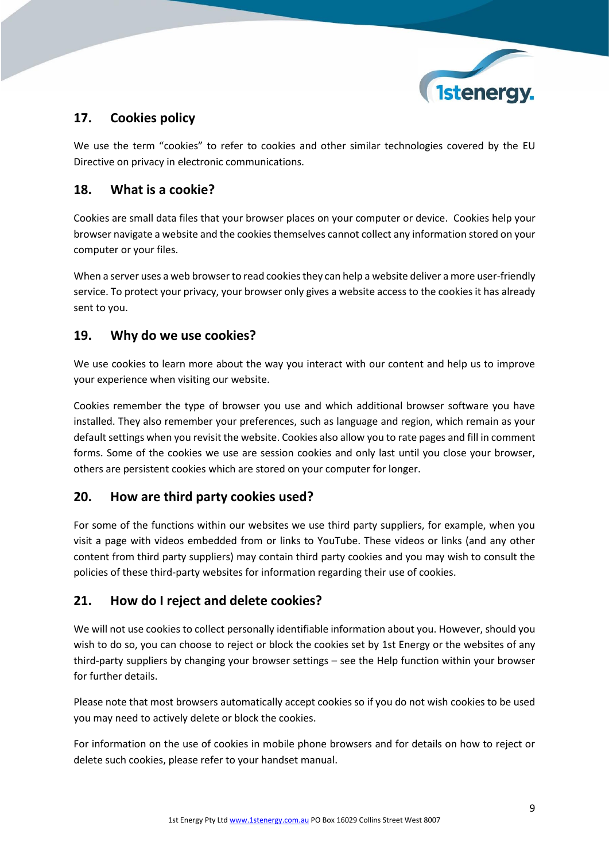

# **17. Cookies policy**

We use the term "cookies" to refer to cookies and other similar technologies covered by the EU Directive on privacy in electronic communications.

# <span id="page-8-0"></span>**18. What is a cookie?**

Cookies are small data files that your browser places on your computer or device. Cookies help your browser navigate a website and the cookies themselves cannot collect any information stored on your computer or your files.

When a server uses a web browser to read cookies they can help a website deliver a more user-friendly service. To protect your privacy, your browser only gives a website access to the cookies it has already sent to you.

# <span id="page-8-1"></span>**19. Why do we use cookies?**

We use cookies to learn more about the way you interact with our content and help us to improve your experience when visiting our website.

Cookies remember the type of browser you use and which additional browser software you have installed. They also remember your preferences, such as language and region, which remain as your default settings when you revisit the website. Cookies also allow you to rate pages and fill in comment forms. Some of the cookies we use are session cookies and only last until you close your browser, others are persistent cookies which are stored on your computer for longer.

# <span id="page-8-2"></span>**20. How are third party cookies used?**

For some of the functions within our websites we use third party suppliers, for example, when you visit a page with videos embedded from or links to YouTube. These videos or links (and any other content from third party suppliers) may contain third party cookies and you may wish to consult the policies of these third-party websites for information regarding their use of cookies.

# <span id="page-8-3"></span>**21. How do I reject and delete cookies?**

We will not use cookies to collect personally identifiable information about you. However, should you wish to do so, you can choose to reject or block the cookies set by 1st Energy or the websites of any third-party suppliers by changing your browser settings – see the Help function within your browser for further details.

Please note that most browsers automatically accept cookies so if you do not wish cookies to be used you may need to actively delete or block the cookies.

For information on the use of cookies in mobile phone browsers and for details on how to reject or delete such cookies, please refer to your handset manual.